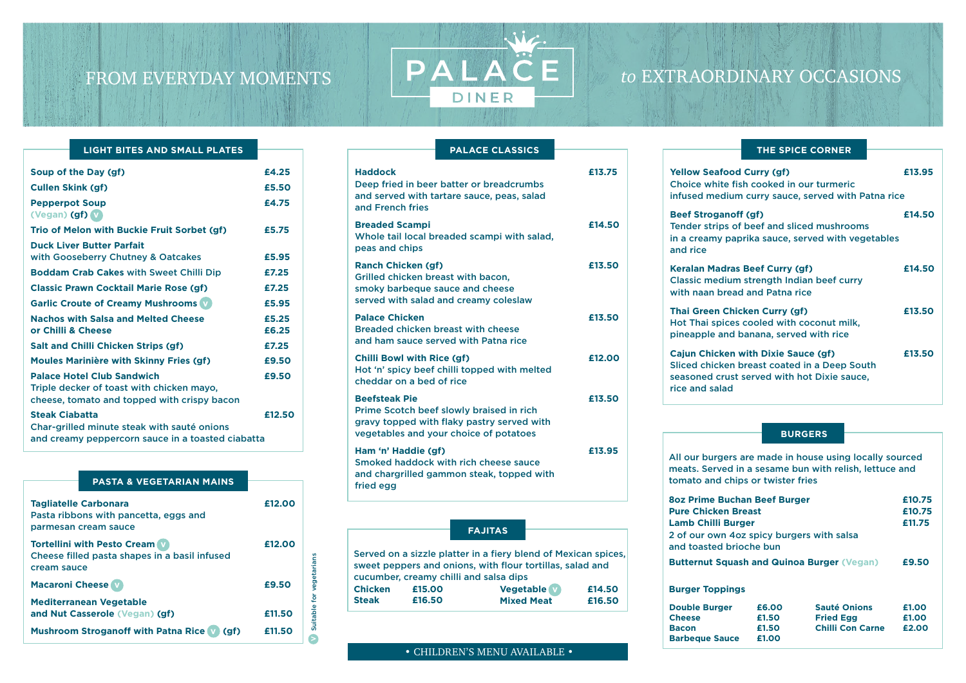# *to* EXTRAORDINARY OCCASIONS

| $\bullet$ CHILDREN'S MENU AVAILABLE $\bullet$ |  |  |  |
|-----------------------------------------------|--|--|--|
|-----------------------------------------------|--|--|--|

| Soup of the Day (gf)                                                                                                          | £4.25          |
|-------------------------------------------------------------------------------------------------------------------------------|----------------|
| <b>Cullen Skink (gf)</b>                                                                                                      | £5.50          |
| <b>Pepperpot Soup</b><br>(Vegan) (gf) V                                                                                       | £4.75          |
| Trio of Melon with Buckie Fruit Sorbet (gf)                                                                                   | £5.75          |
| <b>Duck Liver Butter Parfait</b><br>with Gooseberry Chutney & Oatcakes                                                        | £5.95          |
| <b>Boddam Crab Cakes with Sweet Chilli Dip</b>                                                                                | £7.25          |
| <b>Classic Prawn Cocktail Marie Rose (gf)</b>                                                                                 | £7.25          |
| <b>Garlic Croute of Creamy Mushrooms v</b>                                                                                    | £5.95          |
| <b>Nachos with Salsa and Melted Cheese</b><br>or Chilli & Cheese                                                              | £5.25<br>£6.25 |
| <b>Salt and Chilli Chicken Strips (gf)</b>                                                                                    | £7.25          |
| <b>Moules Marinière with Skinny Fries (gf)</b>                                                                                | £9.50          |
| <b>Palace Hotel Club Sandwich</b><br>Triple decker of toast with chicken mayo,<br>cheese, tomato and topped with crispy bacon | £9.50          |
| <b>Steak Ciabatta</b><br>Char-grilled minute steak with sauté onions<br>and creamy peppercorn sauce in a toasted ciabatta     | £12.50         |

#### **LIGHT BITES AND SMALL PLATES**

| <b>PASTA &amp; VEGETARIAN MAINS</b>                                                                                    |                  |                          |
|------------------------------------------------------------------------------------------------------------------------|------------------|--------------------------|
| <b>Tagliatelle Carbonara</b><br>Pasta ribbons with pancetta, eggs and<br>parmesan cream sauce                          | £12.00           |                          |
| <b>Tortellini with Pesto Cream</b><br>Cheese filled pasta shapes in a basil infused<br>cream sauce                     | £12.00           |                          |
| <b>Macaroni Cheese</b>                                                                                                 | £9.50            |                          |
| <b>Mediterranean Vegetable</b><br>and Nut Casserole (Vegan) (gf)<br><b>Mushroom Stroganoff with Patna Rice</b><br>(gf) | £11.50<br>£11.50 | Suitable for vegetarians |
|                                                                                                                        |                  |                          |

**Beef Strogan** Tender strips in a creamy pa and rice

**Keralan Madra** Classic mediu with naan bre

**Thai Green Cl** Hot Thai spice pineapple and

**Cajun Chicker** Sliced chicker seasoned cru rice and salad

#### **Haddock £13.75** Deep fried in beer batter or breadcrumbs and served with tartare sauce, peas, salad and French fries **Breaded Scampi E14.50** Whole tail local breaded scampi with salad, peas and chips **Ranch Chicken (gf)** 613.50 Grilled chicken breast with bacon, smoky barbeque sauce and cheese served with salad and creamy coleslaw Palace Chicken **E13.50** Breaded chicken breast with cheese and ham sauce served with Patna rice **Chilli Bowl with Rice (gf) £12.00** Hot 'n' spicy beef chilli topped with melted cheddar on a bed of rice **Beefsteak Pie 2018** Prime Scotch beef slowly braised in rich gravy topped with flaky pastry served with vegetables and your choice of potatoes **Ham 'n' Haddie (gf) £13.95** Smoked haddock with rich cheese sauce and chargrilled gammon steak, topped with fried egg **PALACE CLASSICS**

PALACE

DINER

| <b>THE SPICE CORNER</b> |
|-------------------------|
|-------------------------|

| od Curry (gf)<br>fish cooked in our turmeric<br>um curry sauce, served with Patna rice             | £13.95 |
|----------------------------------------------------------------------------------------------------|--------|
| off (gf)<br>of beef and sliced mushrooms<br>aprika sauce, served with vegetables                   | £14.50 |
| as Beef Curry (gf)<br>um strength Indian beef curry<br>ead and Patna rice                          | £14.50 |
| hicken Curry (gf)<br>es cooled with coconut milk,<br>d banana, served with rice                    | £13.50 |
| n with Dixie Sauce (gf)<br>n breast coated in a Deep South<br>st served with hot Dixie sauce,<br>b | £13.50 |

All our burgers are made in house using locally sourced meats. Served in a sesame bun with relish, lettuce and tomato and chips or twister fries

**8oz Prime Bug Pure Chicken Lamb Chilli Bu** 2 of our own and toasted b

**Butternut Square** 

**Burger Topping** 

**Double Burger Cheese Bacon Barbeque Saud** 

#### **BURGERS**

|       | chan Beef Burger |                                | £10.75 |
|-------|------------------|--------------------------------|--------|
|       | <b>Breast</b>    |                                | £10.75 |
| urger |                  | £11.75                         |        |
|       | prioche bun      | 4oz spicy burgers with salsa   |        |
|       |                  | uash and Quinoa Burger (Vegan) | £9.50  |
| ngs   |                  |                                |        |
| r     | £6.00            | <b>Sauté Onions</b>            | £1.00  |
|       | £1.50            | <b>Fried Egg</b>               | £1.00  |
|       |                  |                                |        |

|    | £1.50 | <b>Fried Egg</b>        | £1.00 |
|----|-------|-------------------------|-------|
|    | £1.50 | <b>Chilli Con Carne</b> | £2.00 |
| ce | £1.00 |                         |       |

Served on a sizzle platter in a fiery blend of Mexican spices, sweet peppers and onions, with flour tortillas, salad and

cucumber, creamy chilli and salsa dips

**FAJITAS**

**Chicken £15.00 Steak £16.50**

**Yellow Seafor** Choice white infused mediu

**Vegetable v £14.50 Mixed Meat £16.50**

## FROM EVERYDAY MOMENTS